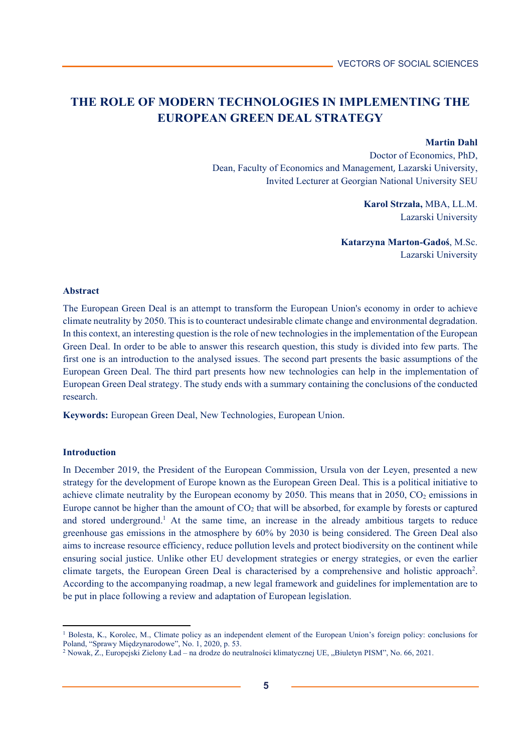# **THE ROLE OF MODERN TECHNOLOGIES IN IMPLEMENTING THE EUROPEAN GREEN DEAL STRATEGY**

#### **Martin Dahl**

Doctor of Economics, PhD, Dean, Faculty of Economics and Management, Lazarski University, Invited Lecturer at Georgian National University SEU

> **Karol Strzała,** MBA, LL.M. Lazarski University

**Katarzyna Marton-Gadoś**, M.Sc. Lazarski University

#### **Abstract**

The European Green Deal is an attempt to transform the European Union's economy in order to achieve climate neutrality by 2050. This is to counteract undesirable climate change and environmental degradation. In this context, an interesting question is the role of new technologies in the implementation of the European Green Deal. In order to be able to answer this research question, this study is divided into few parts. The first one is an introduction to the analysed issues. The second part presents the basic assumptions of the European Green Deal. The third part presents how new technologies can help in the implementation of European Green Deal strategy. The study ends with a summary containing the conclusions of the conducted research.

**Keywords:** European Green Deal, New Technologies, European Union.

#### **Introduction**

l

In December 2019, the President of the European Commission, Ursula von der Leyen, presented a new strategy for the development of Europe known as the European Green Deal. This is a political initiative to achieve climate neutrality by the European economy by 2050. This means that in 2050,  $CO<sub>2</sub>$  emissions in Europe cannot be higher than the amount of  $CO<sub>2</sub>$  that will be absorbed, for example by forests or captured and stored underground.<sup>1</sup> At the same time, an increase in the already ambitious targets to reduce greenhouse gas emissions in the atmosphere by 60% by 2030 is being considered. The Green Deal also aims to increase resource efficiency, reduce pollution levels and protect biodiversity on the continent while ensuring social justice. Unlike other EU development strategies or energy strategies, or even the earlier climate targets, the European Green Deal is characterised by a comprehensive and holistic approach<sup>2</sup>. According to the accompanying roadmap, a new legal framework and guidelines for implementation are to be put in place following a review and adaptation of European legislation.

<sup>1</sup> Bolesta, K., Korolec, M., Climate policy as an independent element of the European Union's foreign policy: conclusions for Poland, "Sprawy Międzynarodowe", No. 1, 2020, p. 53.

<sup>&</sup>lt;sup>2</sup> Nowak, Z., Europejski Zielony Ład – na drodze do neutralności klimatycznej UE, "Biuletyn PISM", No. 66, 2021.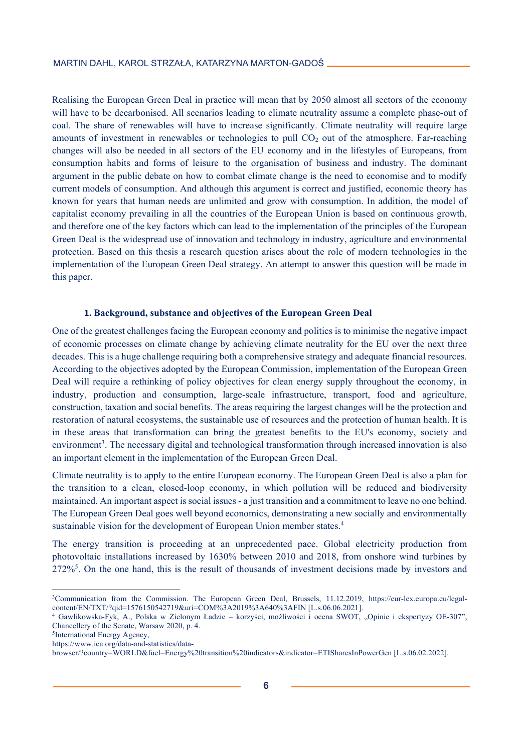Realising the European Green Deal in practice will mean that by 2050 almost all sectors of the economy will have to be decarbonised. All scenarios leading to climate neutrality assume a complete phase-out of coal. The share of renewables will have to increase significantly. Climate neutrality will require large amounts of investment in renewables or technologies to pull  $CO<sub>2</sub>$  out of the atmosphere. Far-reaching changes will also be needed in all sectors of the EU economy and in the lifestyles of Europeans, from consumption habits and forms of leisure to the organisation of business and industry. The dominant argument in the public debate on how to combat climate change is the need to economise and to modify current models of consumption. And although this argument is correct and justified, economic theory has known for years that human needs are unlimited and grow with consumption. In addition, the model of capitalist economy prevailing in all the countries of the European Union is based on continuous growth, and therefore one of the key factors which can lead to the implementation of the principles of the European Green Deal is the widespread use of innovation and technology in industry, agriculture and environmental protection. Based on this thesis a research question arises about the role of modern technologies in the implementation of the European Green Deal strategy. An attempt to answer this question will be made in this paper.

## **1. Background, substance and objectives of the European Green Deal**

One of the greatest challenges facing the European economy and politics is to minimise the negative impact of economic processes on climate change by achieving climate neutrality for the EU over the next three decades. This is a huge challenge requiring both a comprehensive strategy and adequate financial resources. According to the objectives adopted by the European Commission, implementation of the European Green Deal will require a rethinking of policy objectives for clean energy supply throughout the economy, in industry, production and consumption, large-scale infrastructure, transport, food and agriculture, construction, taxation and social benefits. The areas requiring the largest changes will be the protection and restoration of natural ecosystems, the sustainable use of resources and the protection of human health. It is in these areas that transformation can bring the greatest benefits to the EU's economy, society and environment<sup>3</sup>. The necessary digital and technological transformation through increased innovation is also an important element in the implementation of the European Green Deal.

Climate neutrality is to apply to the entire European economy. The European Green Deal is also a plan for the transition to a clean, closed-loop economy, in which pollution will be reduced and biodiversity maintained. An important aspect is social issues - a just transition and a commitment to leave no one behind. The European Green Deal goes well beyond economics, demonstrating a new socially and environmentally sustainable vision for the development of European Union member states.<sup>4</sup>

The energy transition is proceeding at an unprecedented pace. Global electricity production from photovoltaic installations increased by 1630% between 2010 and 2018, from onshore wind turbines by 272%<sup>5</sup>. On the one hand, this is the result of thousands of investment decisions made by investors and

**.** 

<sup>3</sup>Communication from the Commission. The European Green Deal, Brussels, 11.12.2019, https://eur-lex.europa.eu/legalcontent/EN/TXT/?qid=1576150542719&uri=COM%3A2019%3A640%3AFIN [L.s.06.06.2021]. 4 Gawlikowska-Fyk, A., Polska w Zielonym Ładzie – korzyści, możliwości i ocena SWOT, "Opinie i ekspertyzy OE-307",

Chancellery of the Senate, Warsaw 2020, p. 4. <sup>5</sup>International Energy Agency,

https://www.iea.org/data-and-statistics/data-

browser/?country=WORLD&fuel=Energy%20transition%20indicators&indicator=ETISharesInPowerGen [L.s.06.02.2022].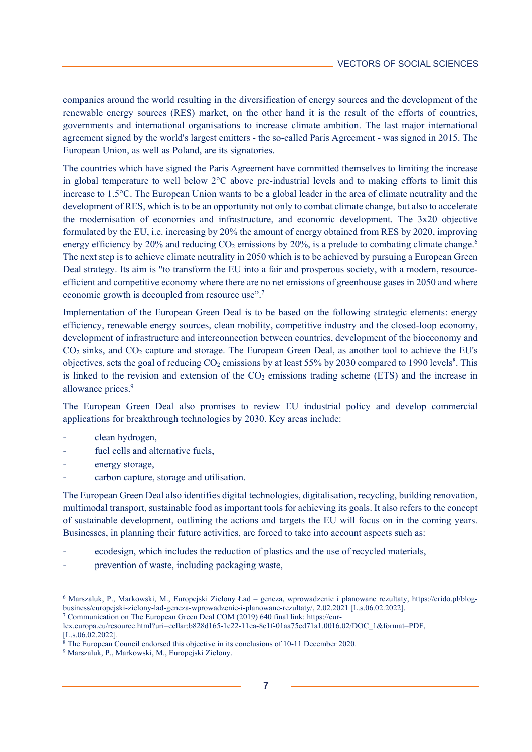companies around the world resulting in the diversification of energy sources and the development of the renewable energy sources (RES) market, on the other hand it is the result of the efforts of countries, governments and international organisations to increase climate ambition. The last major international agreement signed by the world's largest emitters - the so-called Paris Agreement - was signed in 2015. The European Union, as well as Poland, are its signatories.

The countries which have signed the Paris Agreement have committed themselves to limiting the increase in global temperature to well below 2°C above pre-industrial levels and to making efforts to limit this increase to 1.5°C. The European Union wants to be a global leader in the area of climate neutrality and the development of RES, which is to be an opportunity not only to combat climate change, but also to accelerate the modernisation of economies and infrastructure, and economic development. The 3x20 objective formulated by the EU, i.e. increasing by 20% the amount of energy obtained from RES by 2020, improving energy efficiency by 20% and reducing  $CO_2$  emissions by 20%, is a prelude to combating climate change.<sup>6</sup> The next step is to achieve climate neutrality in 2050 which is to be achieved by pursuing a European Green Deal strategy. Its aim is "to transform the EU into a fair and prosperous society, with a modern, resourceefficient and competitive economy where there are no net emissions of greenhouse gases in 2050 and where economic growth is decoupled from resource use".7

Implementation of the European Green Deal is to be based on the following strategic elements: energy efficiency, renewable energy sources, clean mobility, competitive industry and the closed-loop economy, development of infrastructure and interconnection between countries, development of the bioeconomy and CO2 sinks, and CO2 capture and storage. The European Green Deal, as another tool to achieve the EU's objectives, sets the goal of reducing  $CO_2$  emissions by at least 55% by 2030 compared to 1990 levels<sup>8</sup>. This is linked to the revision and extension of the CO<sub>2</sub> emissions trading scheme (ETS) and the increase in allowance prices.<sup>9</sup>

The European Green Deal also promises to review EU industrial policy and develop commercial applications for breakthrough technologies by 2030. Key areas include:

- clean hydrogen,
- fuel cells and alternative fuels,
- energy storage,

 $\overline{a}$ 

carbon capture, storage and utilisation.

The European Green Deal also identifies digital technologies, digitalisation, recycling, building renovation, multimodal transport, sustainable food as important tools for achieving its goals. It also refers to the concept of sustainable development, outlining the actions and targets the EU will focus on in the coming years. Businesses, in planning their future activities, are forced to take into account aspects such as:

- ecodesign, which includes the reduction of plastics and the use of recycled materials,
- prevention of waste, including packaging waste,

<sup>6</sup> Marszaluk, P., Markowski, M., Europejski Zielony Ład – geneza, wprowadzenie i planowane rezultaty, https://crido.pl/blogbusiness/europejski-zielony-lad-geneza-wprowadzenie-i-planowane-rezultaty/, 2.02.2021 [L.s.06.02.2022]. 7 Communication on The European Green Deal COM (2019) 640 final link: https://eur-

lex.europa.eu/resource.html?uri=cellar:b828d165-1c22-11ea-8c1f-01aa75ed71a1.0016.02/DOC\_1&format=PDF, [L.s.06.02.2022].

<sup>&</sup>lt;sup>8</sup> The European Council endorsed this objective in its conclusions of 10-11 December 2020.

<sup>&</sup>lt;sup>9</sup> Marszaluk, P., Markowski, M., Europejski Zielony.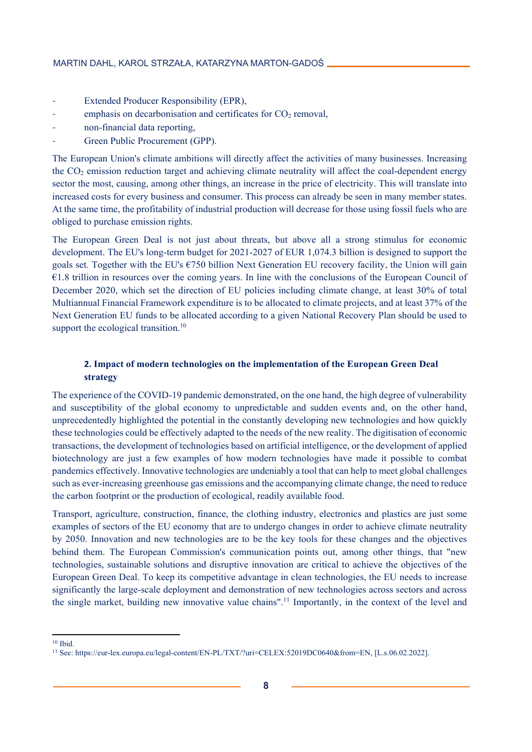- Extended Producer Responsibility (EPR),
- emphasis on decarbonisation and certificates for  $CO<sub>2</sub>$  removal,
- non-financial data reporting,
- Green Public Procurement (GPP).

The European Union's climate ambitions will directly affect the activities of many businesses. Increasing the CO2 emission reduction target and achieving climate neutrality will affect the coal-dependent energy sector the most, causing, among other things, an increase in the price of electricity. This will translate into increased costs for every business and consumer. This process can already be seen in many member states. At the same time, the profitability of industrial production will decrease for those using fossil fuels who are obliged to purchase emission rights.

The European Green Deal is not just about threats, but above all a strong stimulus for economic development. The EU's long-term budget for 2021-2027 of EUR 1,074.3 billion is designed to support the goals set. Together with the EU's  $\epsilon$ 750 billion Next Generation EU recovery facility, the Union will gain  $€1.8$  trillion in resources over the coming years. In line with the conclusions of the European Council of December 2020, which set the direction of EU policies including climate change, at least 30% of total Multiannual Financial Framework expenditure is to be allocated to climate projects, and at least 37% of the Next Generation EU funds to be allocated according to a given National Recovery Plan should be used to support the ecological transition.<sup>10</sup>

# **2. Impact of modern technologies on the implementation of the European Green Deal strategy**

The experience of the COVID-19 pandemic demonstrated, on the one hand, the high degree of vulnerability and susceptibility of the global economy to unpredictable and sudden events and, on the other hand, unprecedentedly highlighted the potential in the constantly developing new technologies and how quickly these technologies could be effectively adapted to the needs of the new reality. The digitisation of economic transactions, the development of technologies based on artificial intelligence, or the development of applied biotechnology are just a few examples of how modern technologies have made it possible to combat pandemics effectively. Innovative technologies are undeniably a tool that can help to meet global challenges such as ever-increasing greenhouse gas emissions and the accompanying climate change, the need to reduce the carbon footprint or the production of ecological, readily available food.

Transport, agriculture, construction, finance, the clothing industry, electronics and plastics are just some examples of sectors of the EU economy that are to undergo changes in order to achieve climate neutrality by 2050. Innovation and new technologies are to be the key tools for these changes and the objectives behind them. The European Commission's communication points out, among other things, that "new technologies, sustainable solutions and disruptive innovation are critical to achieve the objectives of the European Green Deal. To keep its competitive advantage in clean technologies, the EU needs to increase significantly the large-scale deployment and demonstration of new technologies across sectors and across the single market, building new innovative value chains".11 Importantly, in the context of the level and

<sup>&</sup>lt;u>.</u>  $10$  Ibid.

<sup>11</sup> See: https://eur-lex.europa.eu/legal-content/EN-PL/TXT/?uri=CELEX:52019DC0640&from=EN, [L.s.06.02.2022].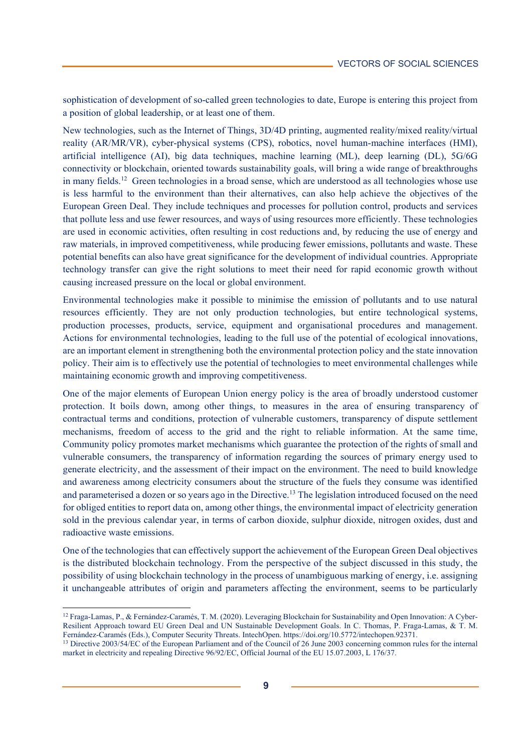sophistication of development of so-called green technologies to date, Europe is entering this project from a position of global leadership, or at least one of them.

New technologies, such as the Internet of Things, 3D/4D printing, augmented reality/mixed reality/virtual reality (AR/MR/VR), cyber-physical systems (CPS), robotics, novel human-machine interfaces (HMI), artificial intelligence (AI), big data techniques, machine learning (ML), deep learning (DL), 5G/6G connectivity or blockchain, oriented towards sustainability goals, will bring a wide range of breakthroughs in many fields.<sup>12</sup> Green technologies in a broad sense, which are understood as all technologies whose use is less harmful to the environment than their alternatives, can also help achieve the objectives of the European Green Deal. They include techniques and processes for pollution control, products and services that pollute less and use fewer resources, and ways of using resources more efficiently. These technologies are used in economic activities, often resulting in cost reductions and, by reducing the use of energy and raw materials, in improved competitiveness, while producing fewer emissions, pollutants and waste. These potential benefits can also have great significance for the development of individual countries. Appropriate technology transfer can give the right solutions to meet their need for rapid economic growth without causing increased pressure on the local or global environment.

Environmental technologies make it possible to minimise the emission of pollutants and to use natural resources efficiently. They are not only production technologies, but entire technological systems, production processes, products, service, equipment and organisational procedures and management. Actions for environmental technologies, leading to the full use of the potential of ecological innovations, are an important element in strengthening both the environmental protection policy and the state innovation policy. Their aim is to effectively use the potential of technologies to meet environmental challenges while maintaining economic growth and improving competitiveness.

One of the major elements of European Union energy policy is the area of broadly understood customer protection. It boils down, among other things, to measures in the area of ensuring transparency of contractual terms and conditions, protection of vulnerable customers, transparency of dispute settlement mechanisms, freedom of access to the grid and the right to reliable information. At the same time, Community policy promotes market mechanisms which guarantee the protection of the rights of small and vulnerable consumers, the transparency of information regarding the sources of primary energy used to generate electricity, and the assessment of their impact on the environment. The need to build knowledge and awareness among electricity consumers about the structure of the fuels they consume was identified and parameterised a dozen or so years ago in the Directive.13 The legislation introduced focused on the need for obliged entities to report data on, among other things, the environmental impact of electricity generation sold in the previous calendar year, in terms of carbon dioxide, sulphur dioxide, nitrogen oxides, dust and radioactive waste emissions.

One of the technologies that can effectively support the achievement of the European Green Deal objectives is the distributed blockchain technology. From the perspective of the subject discussed in this study, the possibility of using blockchain technology in the process of unambiguous marking of energy, i.e. assigning it unchangeable attributes of origin and parameters affecting the environment, seems to be particularly

 $\overline{a}$ 

<sup>&</sup>lt;sup>12</sup> Fraga-Lamas, P., & Fernández-Caramés, T. M. (2020). Leveraging Blockchain for Sustainability and Open Innovation: A Cyber-Resilient Approach toward EU Green Deal and UN Sustainable Development Goals. In C. Thomas, P. Fraga-Lamas, & T. M. Fernández-Caramés (Eds.), Computer Security Threats. IntechOpen. https://doi.org/10.5772/intechopen.92371.

<sup>&</sup>lt;sup>13</sup> Directive 2003/54/EC of the European Parliament and of the Council of 26 June 2003 concerning common rules for the internal market in electricity and repealing Directive 96/92/EC, Official Journal of the EU 15.07.2003, L 176/37.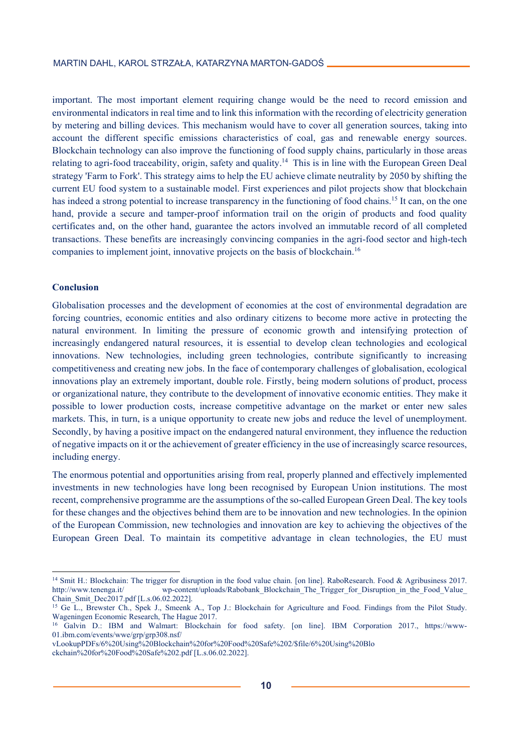important. The most important element requiring change would be the need to record emission and environmental indicators in real time and to link this information with the recording of electricity generation by metering and billing devices. This mechanism would have to cover all generation sources, taking into account the different specific emissions characteristics of coal, gas and renewable energy sources. Blockchain technology can also improve the functioning of food supply chains, particularly in those areas relating to agri-food traceability, origin, safety and quality.14 This is in line with the European Green Deal strategy 'Farm to Fork'. This strategy aims to help the EU achieve climate neutrality by 2050 by shifting the current EU food system to a sustainable model. First experiences and pilot projects show that blockchain has indeed a strong potential to increase transparency in the functioning of food chains.<sup>15</sup> It can, on the one hand, provide a secure and tamper-proof information trail on the origin of products and food quality certificates and, on the other hand, guarantee the actors involved an immutable record of all completed transactions. These benefits are increasingly convincing companies in the agri-food sector and high-tech companies to implement joint, innovative projects on the basis of blockchain.<sup>16</sup>

## **Conclusion**

<u>.</u>

Globalisation processes and the development of economies at the cost of environmental degradation are forcing countries, economic entities and also ordinary citizens to become more active in protecting the natural environment. In limiting the pressure of economic growth and intensifying protection of increasingly endangered natural resources, it is essential to develop clean technologies and ecological innovations. New technologies, including green technologies, contribute significantly to increasing competitiveness and creating new jobs. In the face of contemporary challenges of globalisation, ecological innovations play an extremely important, double role. Firstly, being modern solutions of product, process or organizational nature, they contribute to the development of innovative economic entities. They make it possible to lower production costs, increase competitive advantage on the market or enter new sales markets. This, in turn, is a unique opportunity to create new jobs and reduce the level of unemployment. Secondly, by having a positive impact on the endangered natural environment, they influence the reduction of negative impacts on it or the achievement of greater efficiency in the use of increasingly scarce resources, including energy.

The enormous potential and opportunities arising from real, properly planned and effectively implemented investments in new technologies have long been recognised by European Union institutions. The most recent, comprehensive programme are the assumptions of the so-called European Green Deal. The key tools for these changes and the objectives behind them are to be innovation and new technologies. In the opinion of the European Commission, new technologies and innovation are key to achieving the objectives of the European Green Deal. To maintain its competitive advantage in clean technologies, the EU must

<sup>&</sup>lt;sup>14</sup> Smit H.: Blockchain: The trigger for disruption in the food value chain. [on line]. RaboResearch. Food & Agribusiness 2017.<br>http://www.tenenga.it/ wp-content/uploads/Rabobank Blockchain. The Trigger for Disruption in wp-content/uploads/Rabobank\_Blockchain\_The\_Trigger\_for\_Disruption\_in\_the\_Food\_Value\_ Chain\_Smit\_Dec2017.pdf [L.s.06.02.2022].

<sup>&</sup>lt;sup>15</sup> Ge L., Brewster Ch., Spek J., Smeenk A., Top J.: Blockchain for Agriculture and Food. Findings from the Pilot Study. Wageningen Economic Research, The Hague 2017.

<sup>&</sup>lt;sup>16</sup> Galvin D.: IBM and Walmart: Blockchain for food safety. [on line]. IBM Corporation 2017., https://www-01.ibm.com/events/wwe/grp/grp308.nsf/

vLookupPDFs/6%20Using%20Blockchain%20for%20Food%20Safe%202/\$file/6%20Using%20Blo

ckchain%20for%20Food%20Safe%202.pdf [L.s.06.02.2022].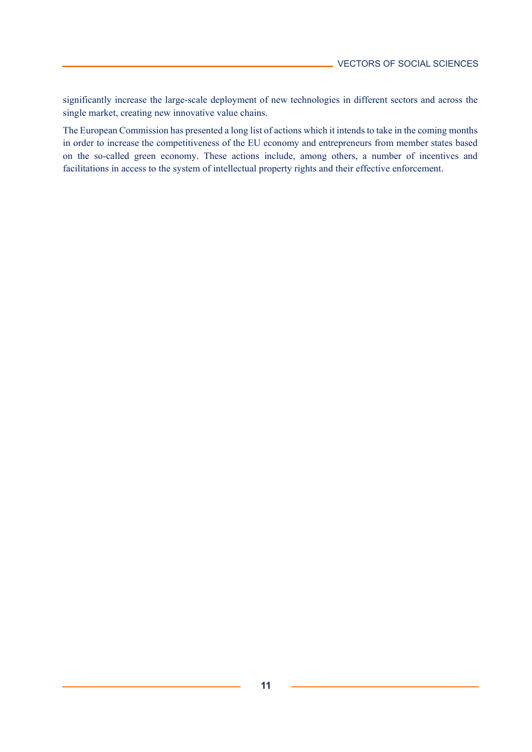significantly increase the large-scale deployment of new technologies in different sectors and across the single market, creating new innovative value chains.

The European Commission has presented a long list of actions which it intends to take in the coming months in order to increase the competitiveness of the EU economy and entrepreneurs from member states based on the so-called green economy. These actions include, among others, a number of incentives and facilitations in access to the system of intellectual property rights and their effective enforcement.